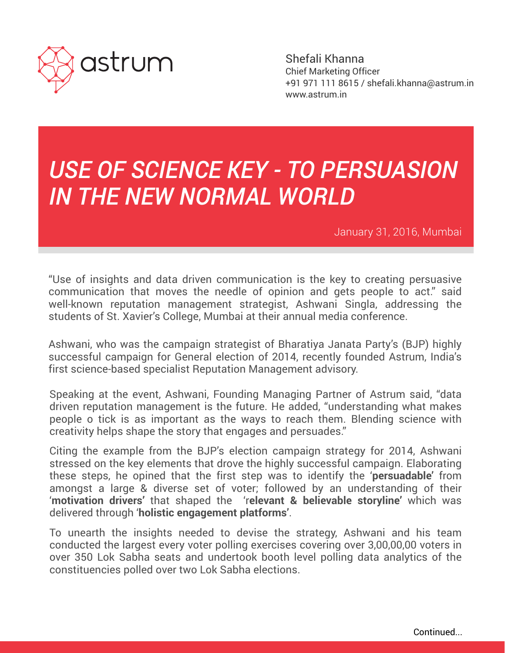

Shefali Khanna Chief Marketing Officer +91 971 111 8615 / shefali.khanna@astrum.in www.astrum.in

## *USE OF SCIENCE KEY - TO PERSUASION IN THE NEW NORMAL WORLD*

January 31, 2016, Mumbai

"Use of insights and data driven communication is the key to creating persuasive communication that moves the needle of opinion and gets people to act." said well-known reputation management strategist, Ashwani Singla, addressing the students of St. Xavier's College, Mumbai at their annual media conference.

Ashwani, who was the campaign strategist of Bharatiya Janata Party's (BJP) highly successful campaign for General election of 2014, recently founded Astrum, India's first science-based specialist Reputation Management advisory.

Speaking at the event, Ashwani, Founding Managing Partner of Astrum said, "data driven reputation management is the future. He added, "understanding what makes people o tick is as important as the ways to reach them. Blending science with creativity helps shape the story that engages and persuades."

Citing the example from the BJP's election campaign strategy for 2014, Ashwani stressed on the key elements that drove the highly successful campaign. Elaborating these steps, he opined that the first step was to identify the '**persuadable'** from amongst a large & diverse set of voter; followed by an understanding of their '**motivation drivers**' that shaped the 'r**elevant & believable storyline**' which was delivered through '**holistic engagement platforms'**.

To unearth the insights needed to devise the strategy, Ashwani and his team conducted the largest every voter polling exercises covering over 3,00,00,00 voters in over 350 Lok Sabha seats and undertook booth level polling data analytics of the constituencies polled over two Lok Sabha elections.